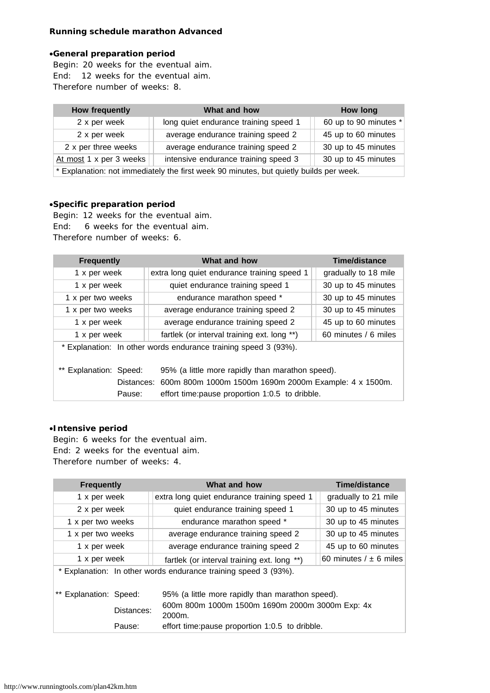# **Running schedule marathon Advanced**

#### ·**General preparation period**

Begin: 20 weeks for the eventual aim. End: 12 weeks for the eventual aim. Therefore number of weeks: 8.

| <b>How frequently</b>                                                                  | What and how                          | How long              |  |  |
|----------------------------------------------------------------------------------------|---------------------------------------|-----------------------|--|--|
| 2 x per week                                                                           | long quiet endurance training speed 1 | 60 up to 90 minutes * |  |  |
| 2 x per week                                                                           | average endurance training speed 2    | 45 up to 60 minutes   |  |  |
| 2 x per three weeks                                                                    | average endurance training speed 2    | 30 up to 45 minutes   |  |  |
| At most 1 x per 3 weeks                                                                | intensive endurance training speed 3  | 30 up to 45 minutes   |  |  |
| * Explanation: not immediately the first week 90 minutes, but quietly builds per week. |                                       |                       |  |  |

#### ·**Specific preparation period**

Begin: 12 weeks for the eventual aim. End: 6 weeks for the eventual aim. Therefore number of weeks: 6.

| <b>Frequently</b>                                                                                                                                                                                                                                                           | What and how                                | Time/distance        |  |  |
|-----------------------------------------------------------------------------------------------------------------------------------------------------------------------------------------------------------------------------------------------------------------------------|---------------------------------------------|----------------------|--|--|
| 1 x per week                                                                                                                                                                                                                                                                | extra long quiet endurance training speed 1 | gradually to 18 mile |  |  |
| 1 x per week                                                                                                                                                                                                                                                                | quiet endurance training speed 1            | 30 up to 45 minutes  |  |  |
| 1 x per two weeks                                                                                                                                                                                                                                                           | endurance marathon speed *                  | 30 up to 45 minutes  |  |  |
| 1 x per two weeks                                                                                                                                                                                                                                                           | average endurance training speed 2          | 30 up to 45 minutes  |  |  |
| 1 x per week                                                                                                                                                                                                                                                                | average endurance training speed 2          | 45 up to 60 minutes  |  |  |
| 1 x per week                                                                                                                                                                                                                                                                | fartlek (or interval training ext. long **) | 60 minutes / 6 miles |  |  |
| * Explanation: In other words endurance training speed 3 (93%).<br>95% (a little more rapidly than marathon speed).<br>Explanation: Speed:<br>Distances: 600m 800m 1000m 1500m 1690m 2000m Example: 4 x 1500m.<br>effort time: pause proportion 1:0.5 to dribble.<br>Pause: |                                             |                      |  |  |
|                                                                                                                                                                                                                                                                             |                                             |                      |  |  |

## ·**Intensive period**

Begin: 6 weeks for the eventual aim. End: 2 weeks for the eventual aim. Therefore number of weeks: 4.

| <b>Frequently</b>                                               |            | What and how                                              | Time/distance                |  |
|-----------------------------------------------------------------|------------|-----------------------------------------------------------|------------------------------|--|
| 1 x per week                                                    |            | extra long quiet endurance training speed 1               | gradually to 21 mile         |  |
| 2 x per week                                                    |            | quiet endurance training speed 1                          | 30 up to 45 minutes          |  |
| 1 x per two weeks                                               |            | endurance marathon speed *                                | 30 up to 45 minutes          |  |
| 1 x per two weeks                                               |            | average endurance training speed 2                        | 30 up to 45 minutes          |  |
| 1 x per week                                                    |            | average endurance training speed 2                        | 45 up to 60 minutes          |  |
| 1 x per week                                                    |            | fartlek (or interval training ext. long **)               | 60 minutes $/$ $\pm$ 6 miles |  |
| * Explanation: In other words endurance training speed 3 (93%). |            |                                                           |                              |  |
| ** Explanation: Speed:                                          |            | 95% (a little more rapidly than marathon speed).          |                              |  |
|                                                                 | Distances: | 600m 800m 1000m 1500m 1690m 2000m 3000m Exp: 4x<br>2000m. |                              |  |
|                                                                 | Pause:     | effort time: pause proportion 1:0.5 to dribble.           |                              |  |